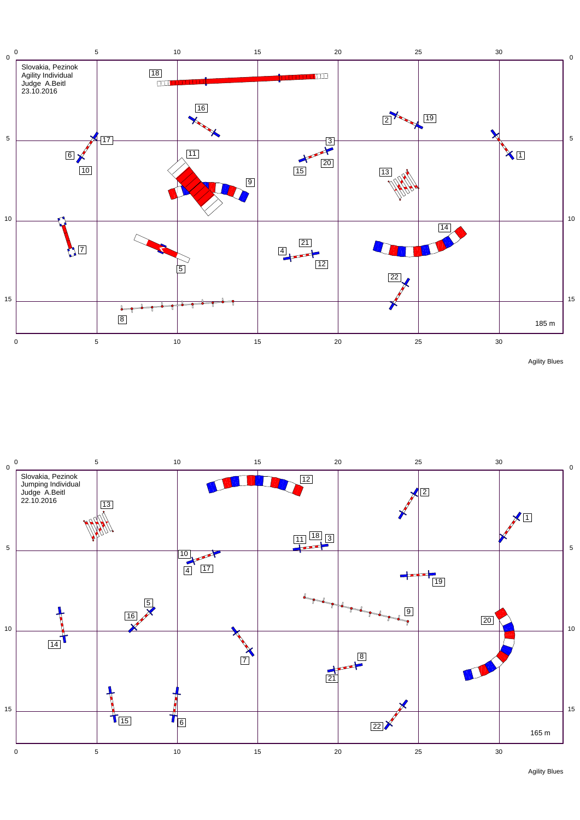

Agility Blues



Agility Blues